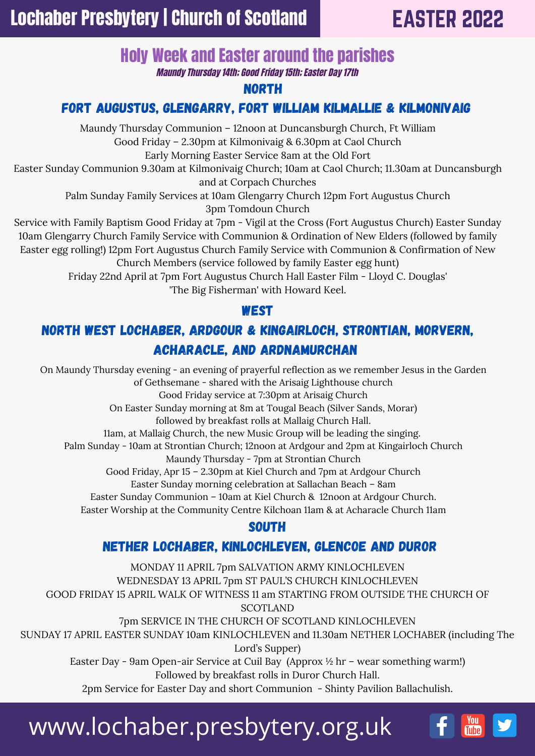## Lochaber Presbytery | Church of Scotland | EASTER 2022

You<br>**ulle** 

### Holy Week and Easter around the parishes

Maundy Thursday 14th; Good Friday 15th; Easter Day 17th

NORTH

#### Fort Augustus, Glengarry, Fort William Kilmallie & Kilmonivaig

Maundy Thursday Communion – 12noon at Duncansburgh Church, Ft William

Good Friday – 2.30pm at Kilmonivaig & 6.30pm at Caol Church

Early Morning Easter Service 8am at the Old Fort

Easter Sunday Communion 9.30am at Kilmonivaig Church; 10am at Caol Church; 11.30am at Duncansburgh and at Corpach Churches

Palm Sunday Family Services at 10am Glengarry Church 12pm Fort Augustus Church 3pm Tomdoun Church

Service with Family Baptism Good Friday at 7pm - Vigil at the Cross (Fort Augustus Church) Easter Sunday 10am Glengarry Church Family Service with Communion & Ordination of New Elders (followed by family Easter egg rolling!) 12pm Fort Augustus Church Family Service with Communion & Confirmation of New Church Members (service followed by family Easter egg hunt)

Friday 22nd April at 7pm Fort Augustus Church Hall Easter Film - Lloyd C. Douglas' 'The Big Fisherman' with Howard Keel.

#### **WEST**

#### North West Lochaber, Ardgour & Kingairloch, Strontian, Morvern, Acharacle, and Ardnamurchan

**SOUTH** Nether Lochaber, Kinlochleven, Glencoe and Duror On Maundy Thursday evening - an evening of prayerful reflection as we remember Jesus in the Garden of Gethsemane - shared with the Arisaig Lighthouse church Good Friday service at 7:30pm at Arisaig Church On Easter Sunday morning at 8m at Tougal Beach (Silver Sands, Morar) followed by breakfast rolls at Mallaig Church Hall. 11am, at Mallaig Church, the new Music Group will be leading the singing. Palm Sunday - 10am at Strontian Church; 12noon at Ardgour and 2pm at Kingairloch Church Maundy Thursday - 7pm at Strontian Church Good Friday, Apr 15 – 2.30pm at Kiel Church and 7pm at Ardgour Church Easter Sunday morning celebration at Sallachan Beach – 8am Easter Sunday Communion – 10am at Kiel Church & 12noon at Ardgour Church. Easter Worship at the Community Centre Kilchoan 11am & at Acharacle Church 11am MONDAY 11 APRIL 7pm SALVATION ARMY KINLOCHLEVEN

WEDNESDAY 13 APRIL 7pm ST PAUL'S CHURCH KINLOCHLEVEN GOOD FRIDAY 15 APRIL WALK OF WITNESS 11 am STARTING FROM OUTSIDE THE CHURCH OF SCOTLAND 7pm SERVICE IN THE CHURCH OF SCOTLAND KINLOCHLEVEN SUNDAY 17 APRIL EASTER SUNDAY 10am KINLOCHLEVEN and 11.30am NETHER LOCHABER (including The Lord's Supper) Easter Day - 9am Open-air Service at Cuil Bay (Approx ½ hr – wear something warm!) Followed by breakfast rolls in Duror Church Hall.

2pm Service for Easter Day and short Communion - Shinty Pavilion Ballachulish.

# www.lochaber.presbytery.org.uk